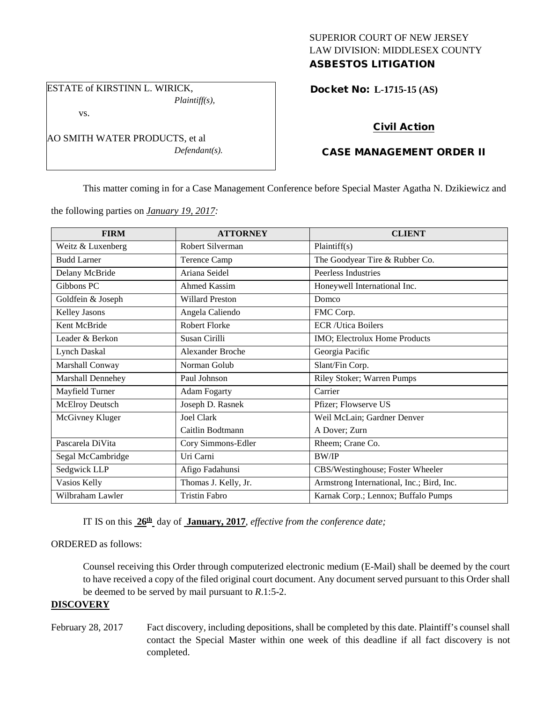### SUPERIOR COURT OF NEW JERSEY LAW DIVISION: MIDDLESEX COUNTY ASBESTOS LITIGATION

ESTATE of KIRSTINN L. WIRICK, *Plaintiff(s),*

vs.

AO SMITH WATER PRODUCTS, et al *Defendant(s).*

# Docket No: **L-1715-15 (AS)**

# Civil Action

# CASE MANAGEMENT ORDER II

This matter coming in for a Case Management Conference before Special Master Agatha N. Dzikiewicz and

the following parties on *January 19, 2017:*

| <b>FIRM</b>            | <b>ATTORNEY</b>         | <b>CLIENT</b>                             |
|------------------------|-------------------------|-------------------------------------------|
| Weitz & Luxenberg      | Robert Silverman        | Plaintiff(s)                              |
| <b>Budd Larner</b>     | <b>Terence Camp</b>     | The Goodyear Tire & Rubber Co.            |
| Delany McBride         | Ariana Seidel           | Peerless Industries                       |
| Gibbons PC             | Ahmed Kassim            | Honeywell International Inc.              |
| Goldfein & Joseph      | <b>Willard Preston</b>  | Domco                                     |
| Kelley Jasons          | Angela Caliendo         | FMC Corp.                                 |
| Kent McBride           | Robert Florke           | <b>ECR</b> /Utica Boilers                 |
| Leader & Berkon        | Susan Cirilli           | IMO; Electrolux Home Products             |
| <b>Lynch Daskal</b>    | <b>Alexander Broche</b> | Georgia Pacific                           |
| Marshall Conway        | Norman Golub            | Slant/Fin Corp.                           |
| Marshall Dennehey      | Paul Johnson            | Riley Stoker; Warren Pumps                |
| Mayfield Turner        | <b>Adam Fogarty</b>     | Carrier                                   |
| <b>McElroy Deutsch</b> | Joseph D. Rasnek        | Pfizer; Flowserve US                      |
| McGivney Kluger        | <b>Joel Clark</b>       | Weil McLain; Gardner Denver               |
|                        | Caitlin Bodtmann        | A Dover; Zurn                             |
| Pascarela DiVita       | Cory Simmons-Edler      | Rheem; Crane Co.                          |
| Segal McCambridge      | Uri Carni               | <b>BW/IP</b>                              |
| Sedgwick LLP           | Afigo Fadahunsi         | CBS/Westinghouse; Foster Wheeler          |
| Vasios Kelly           | Thomas J. Kelly, Jr.    | Armstrong International, Inc.; Bird, Inc. |
| Wilbraham Lawler       | <b>Tristin Fabro</b>    | Karnak Corp.; Lennox; Buffalo Pumps       |

IT IS on this **26th** day of **January, 2017**, *effective from the conference date;*

### ORDERED as follows:

Counsel receiving this Order through computerized electronic medium (E-Mail) shall be deemed by the court to have received a copy of the filed original court document. Any document served pursuant to this Order shall be deemed to be served by mail pursuant to *R*.1:5-2.

## **DISCOVERY**

February 28, 2017 Fact discovery, including depositions, shall be completed by this date. Plaintiff's counsel shall contact the Special Master within one week of this deadline if all fact discovery is not completed.